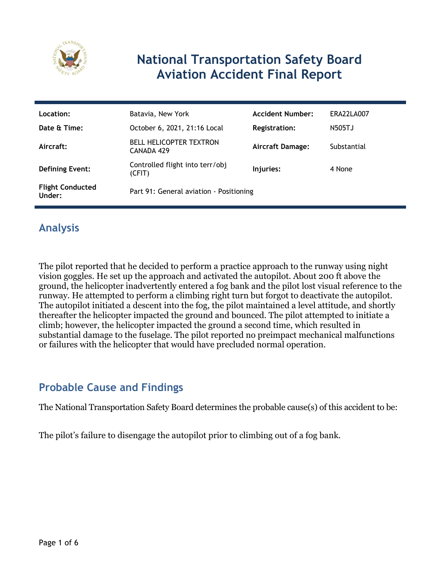

# **National Transportation Safety Board Aviation Accident Final Report**

| Location:                         | Batavia, New York                            | <b>Accident Number:</b> | ERA22LA007  |
|-----------------------------------|----------------------------------------------|-------------------------|-------------|
| Date & Time:                      | October 6, 2021, 21:16 Local                 | <b>Registration:</b>    | N505TJ      |
| Aircraft:                         | <b>BELL HELICOPTER TEXTRON</b><br>CANADA 429 | <b>Aircraft Damage:</b> | Substantial |
| <b>Defining Event:</b>            | Controlled flight into terr/obj<br>(CFIT)    | Injuries:               | 4 None      |
| <b>Flight Conducted</b><br>Under: | Part 91: General aviation - Positioning      |                         |             |

# **Analysis**

The pilot reported that he decided to perform a practice approach to the runway using night vision goggles. He set up the approach and activated the autopilot. About 200 ft above the ground, the helicopter inadvertently entered a fog bank and the pilot lost visual reference to the runway. He attempted to perform a climbing right turn but forgot to deactivate the autopilot. The autopilot initiated a descent into the fog, the pilot maintained a level attitude, and shortly thereafter the helicopter impacted the ground and bounced. The pilot attempted to initiate a climb; however, the helicopter impacted the ground a second time, which resulted in substantial damage to the fuselage. The pilot reported no preimpact mechanical malfunctions or failures with the helicopter that would have precluded normal operation.

#### **Probable Cause and Findings**

The National Transportation Safety Board determines the probable cause(s) of this accident to be:

The pilot's failure to disengage the autopilot prior to climbing out of a fog bank.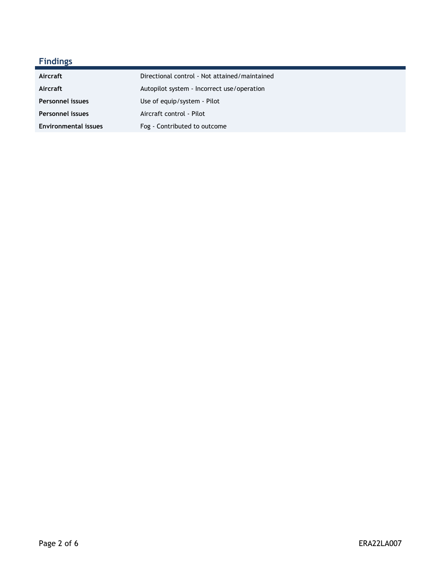# **Findings**

| Aircraft                    | Directional control - Not attained/maintained |
|-----------------------------|-----------------------------------------------|
| Aircraft                    | Autopilot system - Incorrect use/operation    |
| <b>Personnel issues</b>     | Use of equip/system - Pilot                   |
| <b>Personnel issues</b>     | Aircraft control - Pilot                      |
| <b>Environmental issues</b> | Fog - Contributed to outcome                  |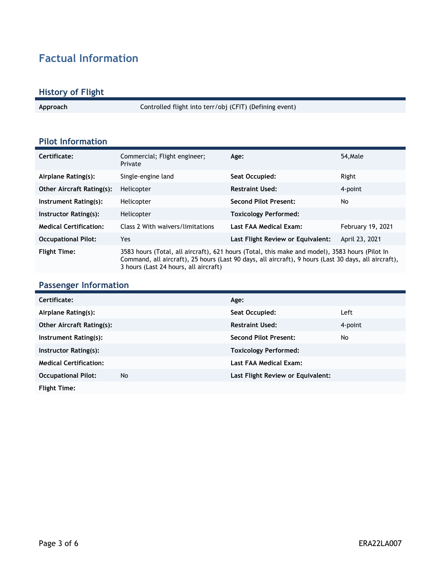# **Factual Information**

#### **History of Flight**

**Approach** Controlled flight into terr/obj (CFIT) (Defining event)

#### **Pilot Information**

| Certificate:                     | Commercial; Flight engineer;<br>Private                                                                                                                                                                                                         | Age:                              | 54, Male          |
|----------------------------------|-------------------------------------------------------------------------------------------------------------------------------------------------------------------------------------------------------------------------------------------------|-----------------------------------|-------------------|
| Airplane Rating(s):              | Single-engine land                                                                                                                                                                                                                              | Seat Occupied:                    | Right             |
| <b>Other Aircraft Rating(s):</b> | Helicopter                                                                                                                                                                                                                                      | <b>Restraint Used:</b>            | 4-point           |
| Instrument Rating(s):            | Helicopter                                                                                                                                                                                                                                      | <b>Second Pilot Present:</b>      | No                |
| Instructor Rating(s):            | Helicopter                                                                                                                                                                                                                                      | <b>Toxicology Performed:</b>      |                   |
| <b>Medical Certification:</b>    | Class 2 With waivers/limitations                                                                                                                                                                                                                | Last FAA Medical Exam:            | February 19, 2021 |
| <b>Occupational Pilot:</b>       | Yes                                                                                                                                                                                                                                             | Last Flight Review or Equivalent: | April 23, 2021    |
| <b>Flight Time:</b>              | 3583 hours (Total, all aircraft), 621 hours (Total, this make and model), 3583 hours (Pilot In<br>Command, all aircraft), 25 hours (Last 90 days, all aircraft), 9 hours (Last 30 days, all aircraft),<br>3 hours (Last 24 hours, all aircraft) |                                   |                   |

#### **Passenger Information**

| Certificate:                     |    | Age:                              |         |  |
|----------------------------------|----|-----------------------------------|---------|--|
| Airplane Rating(s):              |    | Seat Occupied:                    | Left    |  |
| <b>Other Aircraft Rating(s):</b> |    | <b>Restraint Used:</b>            | 4-point |  |
| Instrument Rating(s):            |    | <b>Second Pilot Present:</b>      | No      |  |
| Instructor Rating(s):            |    | <b>Toxicology Performed:</b>      |         |  |
| <b>Medical Certification:</b>    |    | Last FAA Medical Exam:            |         |  |
| <b>Occupational Pilot:</b>       | No | Last Flight Review or Equivalent: |         |  |
| <b>Flight Time:</b>              |    |                                   |         |  |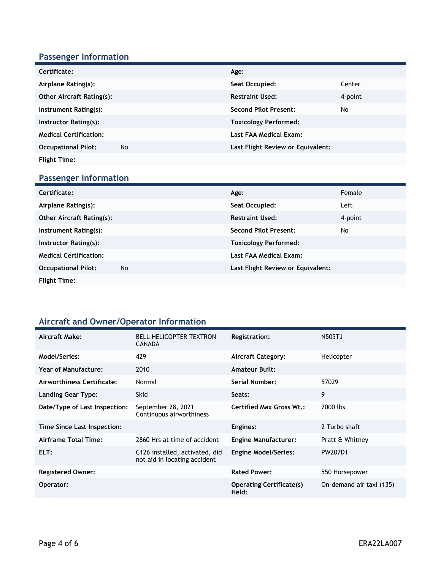# **Passenger Information**

| Certificate:                     |    | Age:                              |         |
|----------------------------------|----|-----------------------------------|---------|
| Airplane Rating(s):              |    | Seat Occupied:                    | Center  |
| <b>Other Aircraft Rating(s):</b> |    | <b>Restraint Used:</b>            | 4-point |
| Instrument Rating(s):            |    | <b>Second Pilot Present:</b>      | No      |
| Instructor Rating(s):            |    | <b>Toxicology Performed:</b>      |         |
| <b>Medical Certification:</b>    |    | Last FAA Medical Exam:            |         |
| <b>Occupational Pilot:</b>       | No | Last Flight Review or Equivalent: |         |
| <b>Flight Time:</b>              |    |                                   |         |

# **Passenger Information**

| Certificate:                     | Age:                              | Female  |
|----------------------------------|-----------------------------------|---------|
| Airplane Rating(s):              | Seat Occupied:                    | Left    |
| <b>Other Aircraft Rating(s):</b> | <b>Restraint Used:</b>            | 4-point |
| Instrument Rating(s):            | <b>Second Pilot Present:</b>      | No      |
| Instructor Rating(s):            | <b>Toxicology Performed:</b>      |         |
| <b>Medical Certification:</b>    | Last FAA Medical Exam:            |         |
| <b>Occupational Pilot:</b><br>No | Last Flight Review or Equivalent: |         |
| <b>Flight Time:</b>              |                                   |         |

#### **Aircraft and Owner/Operator Information**

| Aircraft Make:                | <b>BELL HELICOPTER TEXTRON</b><br><b>CANADA</b>                | <b>Registration:</b>                     | N505TJ                   |
|-------------------------------|----------------------------------------------------------------|------------------------------------------|--------------------------|
| Model/Series:                 | 429                                                            | <b>Aircraft Category:</b>                | Helicopter               |
| Year of Manufacture:          | 2010                                                           | <b>Amateur Built:</b>                    |                          |
| Airworthiness Certificate:    | Normal                                                         | Serial Number:                           | 57029                    |
| Landing Gear Type:            | <b>Skid</b>                                                    | Seats:                                   | 9                        |
| Date/Type of Last Inspection: | September 28, 2021<br>Continuous airworthiness                 | <b>Certified Max Gross Wt.:</b>          | 7000 lbs                 |
| Time Since Last Inspection:   |                                                                | Engines:                                 | 2 Turbo shaft            |
| Airframe Total Time:          | 2860 Hrs at time of accident                                   | <b>Engine Manufacturer:</b>              | Pratt & Whitney          |
| ELT:                          | C126 installed, activated, did<br>not aid in locating accident | <b>Engine Model/Series:</b>              | PW207D1                  |
| <b>Registered Owner:</b>      |                                                                | <b>Rated Power:</b>                      | 550 Horsepower           |
| Operator:                     |                                                                | <b>Operating Certificate(s)</b><br>Held: | On-demand air taxi (135) |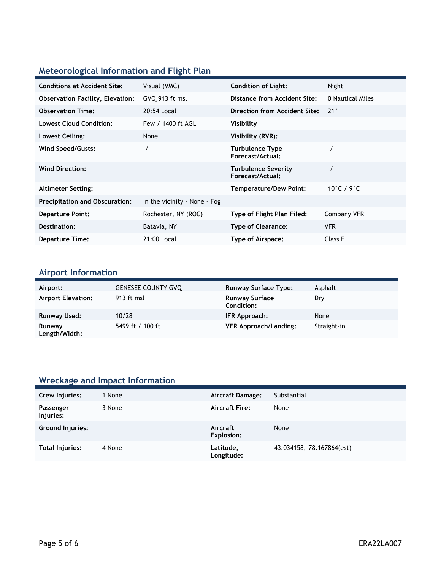# **Meteorological Information and Flight Plan**

| <b>Conditions at Accident Site:</b>     | Visual (VMC)                 | <b>Condition of Light:</b>                     | Night            |
|-----------------------------------------|------------------------------|------------------------------------------------|------------------|
| <b>Observation Facility, Elevation:</b> | GVQ,913 ft msl               | Distance from Accident Site:                   | 0 Nautical Miles |
| <b>Observation Time:</b>                | 20:54 Local                  | Direction from Accident Site:                  | $21^{\circ}$     |
| <b>Lowest Cloud Condition:</b>          | Few / 1400 ft AGL            | Visibility                                     |                  |
| Lowest Ceiling:                         | None                         | Visibility (RVR):                              |                  |
| Wind Speed/Gusts:                       |                              | <b>Turbulence Type</b><br>Forecast/Actual:     |                  |
| <b>Wind Direction:</b>                  |                              | <b>Turbulence Severity</b><br>Forecast/Actual: |                  |
| <b>Altimeter Setting:</b>               |                              | Temperature/Dew Point:                         | 10°C / 9°C       |
| <b>Precipitation and Obscuration:</b>   | In the vicinity - None - Fog |                                                |                  |
| <b>Departure Point:</b>                 | Rochester, NY (ROC)          | Type of Flight Plan Filed:                     | Company VFR      |
| Destination:                            | Batavia, NY                  | <b>Type of Clearance:</b>                      | <b>VFR</b>       |
| <b>Departure Time:</b>                  | 21:00 Local                  | Type of Airspace:                              | Class E          |

#### **Airport Information**

| Airport:                  | <b>GENESEE COUNTY GVO</b> | <b>Runway Surface Type:</b>         | Asphalt     |
|---------------------------|---------------------------|-------------------------------------|-------------|
| <b>Airport Elevation:</b> | 913 ft msl                | <b>Runway Surface</b><br>Condition: | Dry         |
| Runway Used:              | 10/28                     | IFR Approach:                       | None        |
| Runway<br>Length/Width:   | 5499 ft / 100 ft          | <b>VFR Approach/Landing:</b>        | Straight-in |

# **Wreckage and Impact Information**

| Crew Injuries:         | 1 None | Aircraft Damage:        | Substantial                |
|------------------------|--------|-------------------------|----------------------------|
| Passenger<br>Injuries: | 3 None | <b>Aircraft Fire:</b>   | None                       |
| Ground Injuries:       |        | Aircraft<br>Explosion:  | None                       |
| Total Injuries:        | 4 None | Latitude,<br>Longitude: | 43.034158, -78.167864(est) |